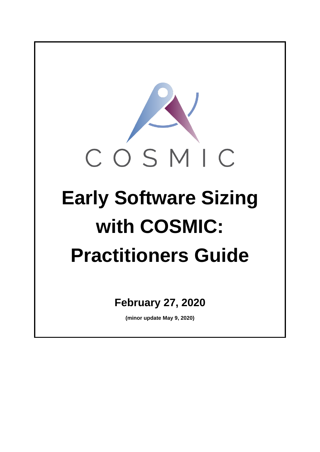

**(minor update May 9, 2020)**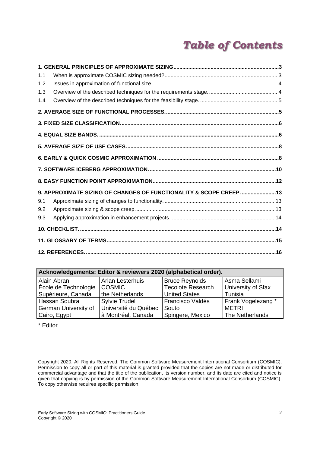# *Table of Contents*

| 1.1 |                                                                     |  |
|-----|---------------------------------------------------------------------|--|
| 1.2 |                                                                     |  |
| 1.3 |                                                                     |  |
| 1.4 |                                                                     |  |
|     |                                                                     |  |
|     |                                                                     |  |
|     |                                                                     |  |
|     |                                                                     |  |
|     |                                                                     |  |
|     |                                                                     |  |
|     |                                                                     |  |
|     | 9. APPROXIMATE SIZING OF CHANGES OF FUNCTIONALITY & SCOPE CREEP. 13 |  |
| 9.1 |                                                                     |  |
| 9.2 |                                                                     |  |
| 9.3 |                                                                     |  |
|     |                                                                     |  |
|     |                                                                     |  |
|     |                                                                     |  |

| Acknowledgements: Editor & reviewers 2020 (alphabetical order). |                      |                          |                    |  |  |  |
|-----------------------------------------------------------------|----------------------|--------------------------|--------------------|--|--|--|
| Alain Abran                                                     | Arlan Lesterhuis     | <b>Bruce Reynolds</b>    | Asma Sellami       |  |  |  |
| École de Technologie                                            | <b>COSMIC</b>        | <b>Tecolote Research</b> | University of Sfax |  |  |  |
| Supérieure, Canada                                              | the Netherlands      | <b>United States</b>     | Tunisia            |  |  |  |
| Hassan Soubra                                                   | <b>Sylvie Trudel</b> | Francisco Valdés         | Frank Vogelezang * |  |  |  |
| German University of                                            | Université du Québec | Souto                    | METRI              |  |  |  |
| Cairo, Egypt                                                    | à Montréal, Canada   | Spingere, Mexico         | The Netherlands    |  |  |  |

\* Editor

Copyright 2020. All Rights Reserved. The Common Software Measurement International Consortium (COSMIC). Permission to copy all or part of this material is granted provided that the copies are not made or distributed for commercial advantage and that the title of the publication, its version number, and its date are cited and notice is given that copying is by permission of the Common Software Measurement International Consortium (COSMIC). To copy otherwise requires specific permission.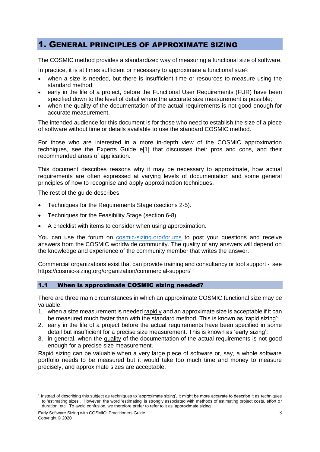### <span id="page-2-0"></span>1. GENERAL PRINCIPLES OF APPROXIMATE SIZING

The COSMIC method provides a standardized way of measuring a functional size of software.

In practice, it is at times sufficient or necessary to approximate a functional size<sup>1</sup>:

- when a size is needed, but there is insufficient time or resources to measure using the standard method;
- early in the life of a project, before the Functional User Requirements (FUR) have been specified down to the level of detail where the accurate size measurement is possible;
- when the quality of the documentation of the actual requirements is not good enough for accurate measurement.

The intended audience for this document is for those who need to establish the size of a piece of software without time or details available to use the standard COSMIC method.

For those who are interested in a more in-depth view of the COSMIC approximation techniques, see the Experts Guide [e\[1\]](#page-15-1) that discusses their pros and cons, and their recommended areas of application.

This document describes reasons why it may be necessary to approximate, how actual requirements are often expressed at varying levels of documentation and some general principles of how to recognise and apply approximation techniques.

The rest of the guide describes:

- Techniques for the Requirements Stage (sections 2-5).
- Techniques for the Feasibility Stage (section 6-8).
- A checklist with items to consider when using approximation.

You can use the forum on [cosmic-sizing.org/forums](http://cosmic-sizing.org/forums/) to post your questions and receive answers from the COSMIC worldwide community. The quality of any answers will depend on the knowledge and experience of the community member that writes the answer.

Commercial organizations exist that can provide training and consultancy or tool support - see https://cosmic-sizing.org/organization/commercial-support/

#### <span id="page-2-1"></span>1.1 When is approximate COSMIC sizing needed?

There are three main circumstances in which an approximate COSMIC functional size may be valuable:

- 1. when a size measurement is needed rapidly and an approximate size is acceptable if it can be measured much faster than with the standard method. This is known as 'rapid sizing';
- 2. early in the life of a project before the actual requirements have been specified in some detail but insufficient for a precise size measurement. This is known as 'early sizing';
- 3. in general, when the quality of the documentation of the actual requirements is not good enough for a precise size measurement.

Rapid sizing can be valuable when a very large piece of software or, say, a whole software portfolio needs to be measured but it would take too much time and money to measure precisely, and approximate sizes are acceptable.

<sup>1</sup> Instead of describing this subject as techniques to 'approximate sizing', it might be more accurate to describe it as techniques to 'estimating sizes'. However, the word 'estimating' is strongly associated with methods of estimating project costs, effort or duration, etc. To avoid confusion, we therefore prefer to refer to it as 'approximate sizing'.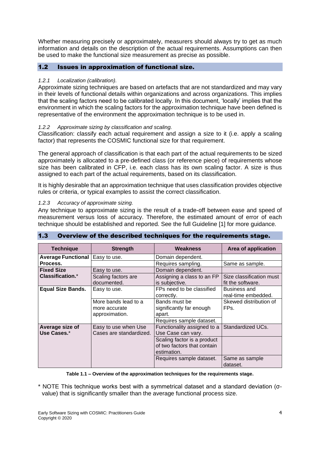Whether measuring precisely or approximately, measurers should always try to get as much information and details on the description of the actual requirements. Assumptions can then be used to make the functional size measurement as precise as possible.

#### <span id="page-3-0"></span>1.2 Issues in approximation of functional size.

#### *1.2.1 Localization (calibration).*

Approximate sizing techniques are based on artefacts that are not standardized and may vary in their levels of functional details within organizations and across organizations. This implies that the scaling factors need to be calibrated locally. In this document, 'locally' implies that the environment in which the scaling factors for the approximation technique have been defined is representative of the environment the approximation technique is to be used in.

#### *1.2.2 Approximate sizing by classification and scaling.*

Classification: classify each actual requirement and assign a size to it (i.e. apply a scaling factor) that represents the COSMIC functional size for that requirement.

The general approach of classification is that each part of the actual requirements to be sized approximately is allocated to a pre-defined class (or reference piece) of requirements whose size has been calibrated in CFP, i.e. each class has its own scaling factor. A size is thus assigned to each part of the actual requirements, based on its classification.

It is highly desirable that an approximation technique that uses classification provides objective rules or criteria, or typical examples to assist the correct classification.

#### *1.2.3 Accuracy of approximate sizing.*

Any technique to approximate sizing is the result of a trade-off between ease and speed of measurement versus loss of accuracy. Therefore, the estimated amount of error of each technique should be established and reported. See the full Guideline [\[1\]](#page-15-1) for more guidance.

| <b>Technique</b>               | <b>Strength</b>                                         | Weakness                                                                        | Area of application                           |
|--------------------------------|---------------------------------------------------------|---------------------------------------------------------------------------------|-----------------------------------------------|
| <b>Average Functional</b>      | Easy to use.                                            | Domain dependent.                                                               |                                               |
| Process.                       |                                                         | Requires sampling.                                                              | Same as sample.                               |
| <b>Fixed Size</b>              | Easy to use.                                            | Domain dependent.                                                               |                                               |
| Classification.*               | Scaling factors are<br>documented.                      | Assigning a class to an FP<br>is subjective.                                    | Size classification must<br>fit the software. |
| <b>Equal Size Bands.</b>       | Easy to use.                                            | FPs need to be classified<br>correctly.                                         | Business and<br>real-time embedded.           |
|                                | More bands lead to a<br>more accurate<br>approximation. | Bands must be<br>significantly far enough<br>apart.<br>Requires sample dataset. | Skewed distribution of<br>FPs.                |
| Average size of<br>Use Cases.* | Easy to use when Use<br>Cases are standardized.         | Functionality assigned to a<br>Use Case can vary.                               | Standardized UCs.                             |
|                                |                                                         | Scaling factor is a product<br>of two factors that contain<br>estimation.       |                                               |
|                                |                                                         | Requires sample dataset.                                                        | Same as sample<br>dataset.                    |

#### <span id="page-3-1"></span>1.3 Overview of the described techniques for the requirements stage.

**Table 1.1 – Overview of the approximation techniques for the requirements stage.**

\* NOTE This technique works best with a symmetrical dataset and a standard deviation (σvalue) that is significantly smaller than the average functional process size.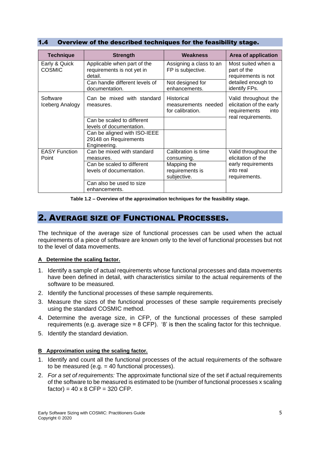<span id="page-4-0"></span>

| 1.4 <sub>1</sub> |  | Overview of the described techniques for the feasibility stage. |  |  |  |
|------------------|--|-----------------------------------------------------------------|--|--|--|
|------------------|--|-----------------------------------------------------------------|--|--|--|

| <b>Technique</b>               | <b>Strength</b>                                                       | Weakness                                              | Area of application                                                      |
|--------------------------------|-----------------------------------------------------------------------|-------------------------------------------------------|--------------------------------------------------------------------------|
| Early & Quick<br><b>COSMIC</b> | Applicable when part of the<br>requirements is not yet in<br>detail.  | Assigning a class to an<br>FP is subjective.          | Most suited when a<br>part of the<br>requirements is not                 |
|                                | Can handle different levels of<br>documentation.                      | Not designed for<br>enhancements.                     | detailed enough to<br>identify FPs.                                      |
| Software<br>Iceberg Analogy    | Can be mixed with standard<br>measures.                               | Historical<br>measurements needed<br>for calibration. | Valid throughout the<br>elicitation of the early<br>requirements<br>into |
|                                | Can be scaled to different<br>levels of documentation.                |                                                       | real requirements.                                                       |
|                                | Can be aligned with ISO-IEEE<br>29148 on Requirements<br>Engineering. |                                                       |                                                                          |
| <b>EASY Function</b><br>Point  | Can be mixed with standard<br>measures.                               | Calibration is time<br>consuming.                     | Valid throughout the<br>elicitation of the                               |
|                                | Can be scaled to different<br>levels of documentation.                | Mapping the<br>requirements is<br>subjective.         | early requirements<br>into real<br>requirements.                         |
|                                | Can also be used to size<br>enhancements.                             |                                                       |                                                                          |

**Table 1.2 – Overview of the approximation techniques for the feasibility stage.**

### <span id="page-4-1"></span>2. AVERAGE SIZE OF FUNCTIONAL PROCESSES.

The technique of the average size of functional processes can be used when the actual requirements of a piece of software are known only to the level of functional processes but not to the level of data movements.

#### **A Determine the scaling factor.**

- 1. Identify a sample of actual requirements whose functional processes and data movements have been defined in detail, with characteristics similar to the actual requirements of the software to be measured.
- 2. Identify the functional processes of these sample requirements.
- 3. Measure the sizes of the functional processes of these sample requirements precisely using the standard COSMIC method.
- 4. Determine the average size, in CFP, of the functional processes of these sampled requirements (e.g. average size  $= 8$  CFP). '8' is then the scaling factor for this technique.
- 5. Identify the standard deviation.

#### **B Approximation using the scaling factor.**

- 1. Identify and count all the functional processes of the actual requirements of the software to be measured (e.g.  $=$  40 functional processes).
- 2. *For a set of requirements:* The approximate functional size of the set if actual requirements of the software to be measured is estimated to be (number of functional processes x scaling  $factor) = 40 \times 8$  CFP = 320 CFP.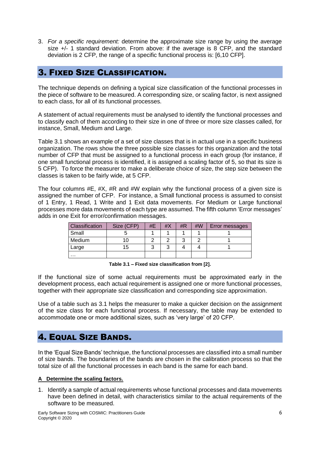3. *For a specific requirement:* determine the approximate size range by using the average size +/- 1 standard deviation. From above: if the average is 8 CFP, and the standard deviation is 2 CFP, the range of a specific functional process is: [6,10 CFP].

### <span id="page-5-0"></span>3. FIXED SIZE CLASSIFICATION.

The technique depends on defining a typical size classification of the functional processes in the piece of software to be measured. A corresponding size, or scaling factor, is next assigned to each class, for all of its functional processes.

A statement of actual requirements must be analysed to identify the functional processes and to classify each of them according to their size in one of three or more size classes called, for instance, Small, Medium and Large.

Table 3.1 shows an example of a set of size classes that is in actual use in a specific business organization. The rows show the three possible size classes for this organization and the total number of CFP that must be assigned to a functional process in each group (for instance, if one small functional process is identified, it is assigned a scaling factor of 5, so that its size is 5 CFP). To force the measurer to make a deliberate choice of size, the step size between the classes is taken to be fairly wide, at 5 CFP.

The four columns  $#E$ ,  $#X$ ,  $#R$  and  $#W$  explain why the functional process of a given size is assigned the number of CFP. For instance, a Small functional process is assumed to consist of 1 Entry, 1 Read, 1 Write and 1 Exit data movements. For Medium or Large functional processes more data movements of each type are assumed. The fifth column 'Error messages' adds in one Exit for error/confirmation messages.

| Classification | Size (CFP) | #E | # $\times$ | # $R$ | #W | <b>Error messages</b> |
|----------------|------------|----|------------|-------|----|-----------------------|
| Small          |            |    |            |       |    |                       |
| Medium         |            |    |            |       |    |                       |
| Large          | 15         |    |            |       |    |                       |
| .              |            |    |            |       |    |                       |

**Table 3.1 – Fixed size classification from [2].**

If the functional size of some actual requirements must be approximated early in the development process, each actual requirement is assigned one or more functional processes, together with their appropriate size classification and corresponding size approximation.

Use of a table such as 3.1 helps the measurer to make a quicker decision on the assignment of the size class for each functional process. If necessary, the table may be extended to accommodate one or more additional sizes, such as 'very large' of 20 CFP.

### <span id="page-5-1"></span>4. EQUAL SIZE BANDS.

In the 'Equal Size Bands' technique, the functional processes are classified into a small number of size bands. The boundaries of the bands are chosen in the calibration process so that the total size of all the functional processes in each band is the same for each band.

#### **A Determine the scaling factors.**

1. Identify a sample of actual requirements whose functional processes and data movements have been defined in detail, with characteristics similar to the actual requirements of the software to be measured.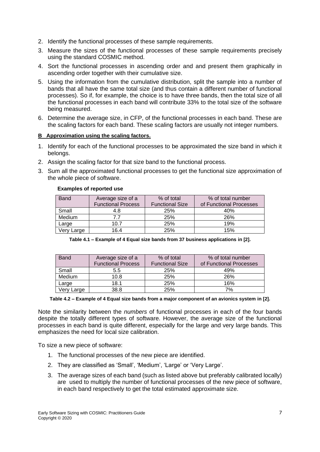- 2. Identify the functional processes of these sample requirements.
- 3. Measure the sizes of the functional processes of these sample requirements precisely using the standard COSMIC method.
- 4. Sort the functional processes in ascending order and and present them graphically in ascending order together with their cumulative size.
- 5. Using the information from the cumulative distribution, split the sample into a number of bands that all have the same total size (and thus contain a different number of functional processes). So if, for example, the choice is to have three bands, then the total size of all the functional processes in each band will contribute 33% to the total size of the software being measured.
- 6. Determine the average size, in CFP, of the functional processes in each band. These are the scaling factors for each band. These scaling factors are usually not integer numbers.

#### **B Approximation using the scaling factors.**

- 1. Identify for each of the functional processes to be approximated the size band in which it belongs.
- 2. Assign the scaling factor for that size band to the functional process.
- 3. Sum all the approximated functional processes to get the functional size approximation of the whole piece of software.

#### **Examples of reported use**

| <b>Band</b> | Average size of a<br><b>Functional Process</b> | % of total<br><b>Functional Size</b> | % of total number<br>of Functional Processes |
|-------------|------------------------------------------------|--------------------------------------|----------------------------------------------|
| Small       | 4.8                                            | 25%                                  | 40%                                          |
| Medium      | 77                                             | 25%                                  | 26%                                          |
| Large       | 10.7                                           | 25%                                  | 19%                                          |
| Very Large  | 16.4                                           | 25%                                  | 15%                                          |

|  | Table 4.1 – Example of 4 Equal size bands from 37 business applications in [2]. |  |  |
|--|---------------------------------------------------------------------------------|--|--|
|  |                                                                                 |  |  |

| <b>Band</b> | Average size of a         | % of total             | % of total number       |
|-------------|---------------------------|------------------------|-------------------------|
|             | <b>Functional Process</b> | <b>Functional Size</b> | of Functional Processes |
| Small       | 5.5                       | 25%                    | 49%                     |
| Medium      | 10.8                      | 25%                    | 26%                     |
| Large       | 18.1                      | 25%                    | 16%                     |
| Very Large  | 38.8                      | 25%                    | 7%                      |

#### **Table 4.2 – Example of 4 Equal size bands from a major component of an avionics system in [\[2\].](#page-15-2)**

Note the similarity between the *numbers* of functional processes in each of the four bands despite the totally different types of software. However, the average size of the functional processes in each band is quite different, especially for the large and very large bands. This emphasizes the need for local size calibration.

To size a new piece of software:

- 1. The functional processes of the new piece are identified.
- 2. They are classified as 'Small', 'Medium', 'Large' or 'Very Large'.
- 3. The average sizes of each band (such as listed above but preferably calibrated locally) are used to multiply the number of functional processes of the new piece of software, in each band respectively to get the total estimated approximate size.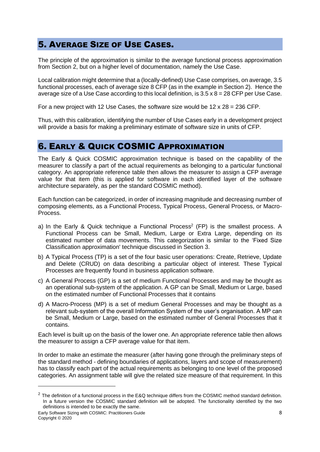# <span id="page-7-0"></span>5. AVERAGE SIZE OF USE CASES.

The principle of the approximation is similar to the average functional process approximation from Section 2, but on a higher level of documentation, namely the Use Case.

Local calibration might determine that a (locally-defined) Use Case comprises, on average, 3.5 functional processes, each of average size 8 CFP (as in the example in Section 2). Hence the average size of a Use Case according to this local definition, is  $3.5 \times 8 = 28$  CFP per Use Case.

For a new project with 12 Use Cases, the software size would be  $12 \times 28 = 236$  CFP.

Thus, with this calibration, identifying the number of Use Cases early in a development project will provide a basis for making a preliminary estimate of software size in units of CFP.

### <span id="page-7-1"></span>6. EARLY & QUICK COSMIC APPROXIMATION

The Early & Quick COSMIC approximation technique is based on the capability of the measurer to classify a part of the actual requirements as belonging to a particular functional category. An appropriate reference table then allows the measurer to assign a CFP average value for that item (this is applied for software in each identified layer of the software architecture separately, as per the standard COSMIC method).

Each function can be categorized, in order of increasing magnitude and decreasing number of composing elements, as a Functional Process, Typical Process, General Process, or Macro-Process.

- a) In the Early & Quick technique a Functional Process<sup>2</sup> (FP) is the smallest process. A Functional Process can be Small, Medium, Large or Extra Large, depending on its estimated number of data movements. This categorization is similar to the 'Fixed Size Classification approximation' technique discussed in Section 3.
- b) A Typical Process (TP) is a set of the four basic user operations: Create, Retrieve, Update and Delete (CRUD) on data describing a particular object of interest. These Typical Processes are frequently found in business application software.
- c) A General Process (GP) is a set of medium Functional Processes and may be thought as an operational sub-system of the application. A GP can be Small, Medium or Large, based on the estimated number of Functional Processes that it contains
- d) A Macro-Process (MP) is a set of medium General Processes and may be thought as a relevant sub-system of the overall Information System of the user's organisation. A MP can be Small, Medium or Large, based on the estimated number of General Processes that it contains.

Each level is built up on the basis of the lower one. An appropriate reference table then allows the measurer to assign a CFP average value for that item.

In order to make an estimate the measurer (after having gone through the preliminary steps of the standard method - defining boundaries of applications, layers and scope of measurement) has to classify each part of the actual requirements as belonging to one level of the proposed categories. An assignment table will give the related size measure of that requirement. In this

 $2$  The definition of a functional process in the E&Q technique differs from the COSMIC method standard definition. In a future version the COSMIC standard definition will be adopted. The functionality identified by the two definitions is intended to be exactly the same.

Early Software Sizing with COSMIC: Practitioners Guide 8 Copyright © 2020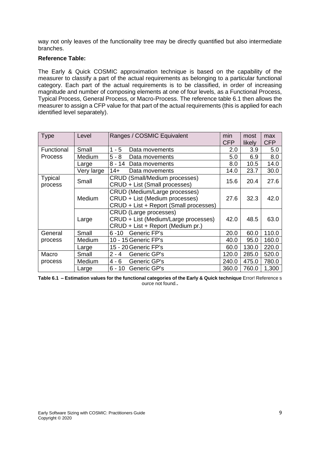way not only leaves of the functionality tree may be directly quantified but also intermediate branches.

#### **Reference Table:**

The Early & Quick COSMIC approximation technique is based on the capability of the measurer to classify a part of the actual requirements as belonging to a particular functional category. Each part of the actual requirements is to be classified, in order of increasing magnitude and number of composing elements at one of four levels, as a Functional Process, Typical Process, General Process, or Macro-Process. The reference table 6.1 then allows the measurer to assign a CFP value for that part of the actual requirements (this is applied for each identified level separately).

| <b>Type</b>               | Level         | Ranges / COSMIC Equivalent                                                                                 | min<br><b>CFP</b> | most<br>likely | max<br><b>CFP</b> |
|---------------------------|---------------|------------------------------------------------------------------------------------------------------------|-------------------|----------------|-------------------|
| Functional                | Small         | 1 - 5<br>Data movements                                                                                    | 2.0               | 3.9            | 5.0               |
| <b>Process</b>            | Medium        | $5 - 8$<br>Data movements                                                                                  | 5.0               | 6.9            | 8.0               |
|                           | Large         | 8 - 14<br>Data movements                                                                                   | 8.0               | 10.5           | 14.0              |
|                           | Very large    | $14+$<br>Data movements                                                                                    | 14.0              | 23.7           | 30.0              |
| <b>Typical</b><br>process | Small         | <b>CRUD (Small/Medium processes)</b><br>CRUD + List (Small processes)                                      | 15.6              | 20.4           | 27.6              |
|                           | Medium        | CRUD (Medium/Large processes)<br>CRUD + List (Medium processes)<br>CRUD + List + Report (Small processes)  | 27.6              | 32.3           | 42.0              |
|                           | Large         | <b>CRUD</b> (Large processes)<br>CRUD + List (Medium/Large processes)<br>CRUD + List + Report (Medium pr.) | 42.0              | 48.5           | 63.0              |
| General                   | Small         | Generic FP's<br>6 - 10                                                                                     | 20.0              | 60.0           | 110.0             |
| process                   | <b>Medium</b> | 10 - 15 Generic FP's                                                                                       | 40.0              | 95.0           | 160.0             |
|                           | Large         | 15 - 20 Generic FP's                                                                                       | 60.0              | 130.0          | 220.0             |
| Macro                     | Small         | Generic GP's<br>$2 - 4$                                                                                    | 120.0             | 285.0          | 520.0             |
| process                   | Medium        | Generic GP's<br>$4 - 6$                                                                                    | 240.0             | 475.0          | 780.0             |
|                           | Large         | $6 - 10$<br>Generic GP's                                                                                   | 360.0             | 760.0          | 1,300             |

**Table 6.1 – Estimation values for the functional categories of the Early & Quick technique** Error! Reference s ource not found.**.**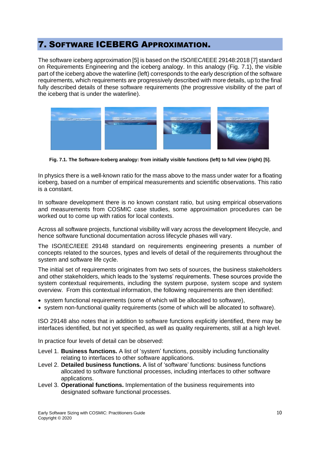# <span id="page-9-0"></span>7. SOFTWARE ICEBERG APPROXIMATION.

The software iceberg approximation [\[5\]](#page-15-3) is based on the ISO/IEC/IEEE 29148:2018 [7] standard on Requirements Engineering and the iceberg analogy. In this analogy (Fig. 7.1), the visible part of the iceberg above the waterline (left) corresponds to the early description of the software requirements, which requirements are progressively described with more details, up to the final fully described details of these software requirements (the progressive visibility of the part of the iceberg that is under the waterline).



**Fig. 7.1. The Software-Iceberg analogy: from initially visible functions (left) to full view (right) [\[5\].](#page-15-3)**

In physics there is a well-known ratio for the mass above to the mass under water for a floating iceberg, based on a number of empirical measurements and scientific observations. This ratio is a constant.

In software development there is no known constant ratio, but using empirical observations and measurements from COSMIC case studies, some approximation procedures can be worked out to come up with ratios for local contexts.

Across all software projects, functional visibility will vary across the development lifecycle, and hence software functional documentation across lifecycle phases will vary.

The ISO/IEC/IEEE 29148 standard on requirements engineering presents a number of concepts related to the sources, types and levels of detail of the requirements throughout the system and software life cycle.

The initial set of requirements originates from two sets of sources, the business stakeholders and other stakeholders, which leads to the 'systems' requirements. These sources provide the system contextual requirements, including the system purpose, system scope and system overview. From this contextual information, the following requirements are then identified:

- system functional requirements (some of which will be allocated to software),
- system non-functional quality requirements (some of which will be allocated to software).

ISO 29148 also notes that in addition to software functions explicitly identified, there may be interfaces identified, but not yet specified, as well as quality requirements, still at a high level.

In practice four levels of detail can be observed:

- Level 1. **Business functions.** A list of 'system' functions, possibly including functionality relating to interfaces to other software applications.
- Level 2. **Detailed business functions.** A list of 'software' functions: business functions allocated to software functional processes, including interfaces to other software applications.
- Level 3. **Operational functions.** Implementation of the business requirements into designated software functional processes.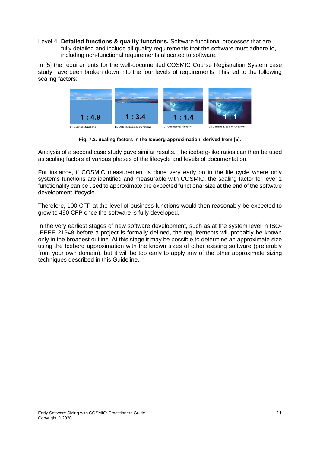Level 4. **Detailed functions & quality functions.** Software functional processes that are fully detailed and include all quality requirements that the software must adhere to, including non-functional requirements allocated to software.

In [\[5\]](#page-15-3) the requirements for the well-documented COSMIC Course Registration System case study have been broken down into the four levels of requirements. This led to the following scaling factors:



**Fig. 7.2. Scaling factors in the Iceberg approximation, derived from [\[5\].](#page-15-3)**

Analysis of a second case study gave similar results. The iceberg-like ratios can then be used as scaling factors at various phases of the lifecycle and levels of documentation.

For instance, if COSMIC measurement is done very early on in the life cycle where only systems functions are identified and measurable with COSMIC, the scaling factor for level 1 functionality can be used to approximate the expected functional size at the end of the software development lifecycle.

Therefore, 100 CFP at the level of business functions would then reasonably be expected to grow to 490 CFP once the software is fully developed.

In the very earliest stages of new software development, such as at the system level in ISO-IEEEE 21948 before a project is formally defined, the requirements will probably be known only in the broadest outline. At this stage it may be possible to determine an approximate size using the Iceberg approximation with the known sizes of other existing software (preferably from your own domain), but it will be too early to apply any of the other approximate sizing techniques described in this Guideline.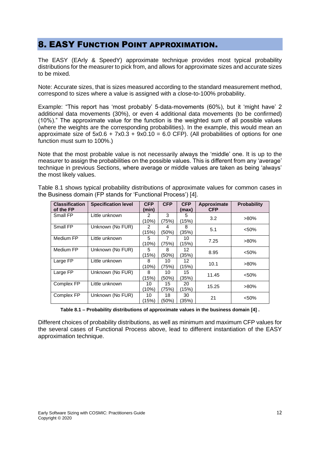### <span id="page-11-0"></span>8. EASY FUNCTION POINT APPROXIMATION.

The EASY (EArly & SpeedY) approximate technique provides most typical probability distributions for the measurer to pick from, and allows for approximate sizes and accurate sizes to be mixed.

Note: Accurate sizes, that is sizes measured according to the standard measurement method, correspond to sizes where a value is assigned with a close-to-100% probability.

Example: "This report has 'most probably' 5-data-movements (60%), but it 'might have' 2 additional data movements (30%), or even 4 additional data movements (to be confirmed) (10%)." The approximate value for the function is the weighted sum of all possible values (where the weights are the corresponding probabilities). In the example, this would mean an approximate size of  $5x0.6 + 7x0.3 + 9x0.10 = 6.0$  CFP). (All probabilities of options for one function must sum to 100%.)

Note that the most probable value is not necessarily always the 'middle' one. It is up to the measurer to assign the probabilities on the possible values. This is different from any 'average' technique in previous Sections, where average or middle values are taken as being 'always' the most likely values.

| <b>Classification</b><br>of the FP | <b>Specification level</b> | <b>CFP</b><br>(min) | <b>CFP</b> | <b>CFP</b><br>(max) | Approximate<br><b>CFP</b> | <b>Probability</b> |
|------------------------------------|----------------------------|---------------------|------------|---------------------|---------------------------|--------------------|
| Small FP                           | Little unknown             | 2                   | 3          | 5                   | 3.2                       | $>80\%$            |
|                                    |                            | (10%)               | (75%)      | (15%)               |                           |                    |
| Small FP                           | Unknown (No FUR)           | 2                   | 4          | 8                   | 5.1                       | < 50%              |
|                                    |                            | (15%)               | (50%)      | (35%)               |                           |                    |
| Medium FP                          | Little unknown             | 5                   | 7          | 10                  | 7.25                      | $>80\%$            |
|                                    |                            | (10%)               | (75%)      | (15%)               |                           |                    |
| Medium FP                          | Unknown (No FUR)           | 5                   | 8          | 12                  | 8.95                      | < 50%              |
|                                    |                            | (15%)               | (50%)      | (35%)               |                           |                    |
| Large FP                           | Little unknown             | 8                   | 10         | 12                  | 10.1                      | $>80\%$            |
|                                    |                            | (10%)               | (75%)      | (15%)               |                           |                    |
| Large FP                           | Unknown (No FUR)           | 8                   | 10         | 15                  | 11.45                     | < 50%              |
|                                    |                            | (15%)               | (50%)      | (35%)               |                           |                    |
| Complex FP                         | Little unknown             | 10                  | 15         | 20                  |                           | $>80\%$            |
|                                    |                            | (10%)               | (75%)      | (15%)               | 15.25                     |                    |
| Complex FP                         | Unknown (No FUR)           | 10                  | 18         | 30                  | 21                        | < 50%              |
|                                    |                            | (15%)               | (50%)      | (35%)               |                           |                    |

Table 8.1 shows typical probability distributions of approximate values for common cases in the Business domain (FP stands for 'Functional Process') [\[4\].](#page-15-4)

**Table 8.1 – Probability distributions of approximate values in the business domain [\[4\]](#page-15-4) .**

Different choices of probability distributions, as well as minimum and maximum CFP values for the several cases of Functional Process above, lead to different instantiation of the EASY approximation technique.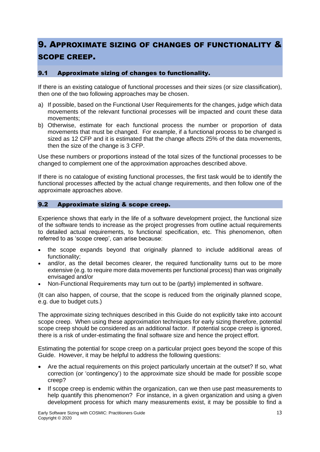# <span id="page-12-0"></span>9. APPROXIMATE SIZING OF CHANGES OF FUNCTIONALITY & SCOPE CREEP.

#### <span id="page-12-1"></span>9.1 Approximate sizing of changes to functionality.

If there is an existing catalogue of functional processes and their sizes (or size classification), then one of the two following approaches may be chosen.

- a) If possible, based on the Functional User Requirements for the changes, judge which data movements of the relevant functional processes will be impacted and count these data movements;
- b) Otherwise, estimate for each functional process the number or proportion of data movements that must be changed. For example, if a functional process to be changed is sized as 12 CFP and it is estimated that the change affects 25% of the data movements, then the size of the change is 3 CFP.

Use these numbers or proportions instead of the total sizes of the functional processes to be changed to complement one of the approximation approaches described above.

If there is no catalogue of existing functional processes, the first task would be to identify the functional processes affected by the actual change requirements, and then follow one of the approximate approaches above.

#### <span id="page-12-2"></span>9.2 Approximate sizing & scope creep.

Experience shows that early in the life of a software development project, the functional size of the software tends to increase as the project progresses from outline actual requirements to detailed actual requirements, to functional specification, etc. This phenomenon, often referred to as 'scope creep', can arise because:

- the scope expands beyond that originally planned to include additional areas of functionality;
- and/or, as the detail becomes clearer, the required functionality turns out to be more extensive (e.g. to require more data movements per functional process) than was originally envisaged and/or
- Non-Functional Requirements may turn out to be (partly) implemented in software.

(It can also happen, of course, that the scope is reduced from the originally planned scope, e.g. due to budget cuts.)

The approximate sizing techniques described in this Guide do not explicitly take into account scope creep. When using these approximation techniques for early sizing therefore, potential scope creep should be considered as an additional factor. If potential scope creep is ignored, there is a risk of under-estimating the final software size and hence the project effort.

Estimating the potential for scope creep on a particular project goes beyond the scope of this Guide. However, it may be helpful to address the following questions:

- Are the actual requirements on this project particularly uncertain at the outset? If so, what correction (or 'contingency') to the approximate size should be made for possible scope creep?
- If scope creep is endemic within the organization, can we then use past measurements to help quantify this phenomenon? For instance, in a given organization and using a given development process for which many measurements exist, it may be possible to find a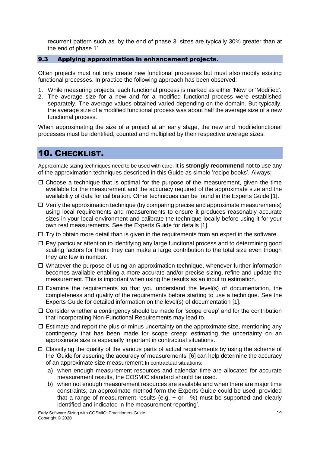recurrent pattern such as 'by the end of phase 3, sizes are typically 30% greater than at the end of phase 1'.

#### <span id="page-13-0"></span>9.3 Applying approximation in enhancement projects.

Often projects must not only create new functional processes but must also modify existing functional processes. In practice the following approach has been observed:

- 1. While measuring projects, each functional process is marked as either 'New' or 'Modified'.
- 2. The average size for a new and for a modified functional process were established separately. The average values obtained varied depending on the domain. But typically, the average size of a modified functional process was about half the average size of a new functional process.

When approximating the size of a project at an early stage, the new and modifiefunctional processes must be identified, counted and multiplied by their respective average sizes.

### <span id="page-13-1"></span>10. CHECKLIST.

Approximate sizing techniques need to be used with care. It is **strongly recommend** not to use any of the approximation techniques described in this Guide as simple 'recipe books'. Always:

- $\square$  Choose a technique that is optimal for the purpose of the measurement, given the time available for the measurement and the accuracy required of the approximate size and the availability of data for calibration. Other techniques can be found in the Experts Guide [\[1\].](#page-15-1)
- $\Box$  Verify the approximation technique (by comparing precise and approximate measurements) using local requirements and measurements to ensure it produces reasonably accurate sizes in your local environment and calibrate the technique locally before using it for your own real measurements. See the Experts Guide for details [\[1\].](#page-15-1)
- $\Box$  Try to obtain more detail than is given in the requirements from an expert in the software.
- $\Box$  Pay particular attention to identifying any large functional process and to determining good scaling factors for them: they can make a large contribution to the total size even though they are few in number.
- Whatever the purpose of using an approximation technique, whenever further information becomes available enabling a more accurate and/or precise sizing, refine and update the measurement. This is important when using the results as an input to estimation.
- $\Box$  Examine the requirements so that you understand the level(s) of documentation, the completeness and quality of the requirements before starting to use a technique. See the Experts Guide for detailed information on the level(s) of documentation [\[1\].](#page-15-1)
- $\Box$  Consider whether a contingency should be made for 'scope creep' and for the contribution that incorporating Non-Functional Requirements may lead to.
- $\Box$  Estimate and report the plus or minus uncertainty on the approximate size, mentioning any contingency that has been made for scope creep; estimating the uncertainty on an approximate size is especially important in contractual situations.
- $\Box$  Classifying the quality of the various parts of actual requirements by using the scheme of the 'Guide for assuring the accuracy of measurements' [\[6\]](#page-15-5) can help determine the accuracy of an approximate size measurement.In contractual situations:
	- a) when enough measurement resources and calendar time are allocated for accurate measurement results, the COSMIC standard should be used.
	- b) when not enough measurement resources are available and when there are major time constraints, an approximate method form the Experts Guide could be used, provided that a range of measurement results (e.g.  $+$  or  $-$  %) must be supported and clearly identified and indicated in the measurement reporting'.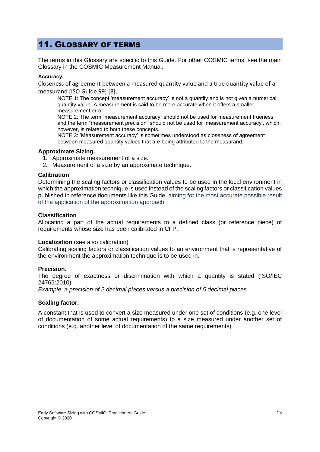# <span id="page-14-0"></span>11. GLOSSARY OF TERMS

The terms in this Glossary are specific to this Guide. For other COSMIC terms, see the main Glossary in the COSMIC Measurement Manual.

#### **Accuracy.**

Closeness of agreement between a measured quantity value and a true quantity value of a measurand [ISO Guide 99] [8].

NOTE 1: The concept 'measurement accuracy' is not a quantity and is not given a numerical quantity value. A measurement is said to be more accurate when it offers a smaller measurement error.

NOTE 2: The term "measurement accuracy" should not be used for measurement trueness and the term "measurement precision" should not be used for 'measurement accuracy', which, however, is related to both these concepts.

NOTE 3: 'Measurement accuracy' is sometimes understood as closeness of agreement between measured quantity values that are being attributed to the measurand.

#### **Approximate Sizing.**

- 1. Approximate measurement of a size.
- 2. Measurement of a size by an approximate technique.

#### **Calibration**

Determining the scaling factors or classification values to be used in the local environment in which the approximation technique is used instead of the scaling factors or classification values published in reference documents like this Guide, aiming for the most accurate possible result of the application of the approximation approach.

#### **Classification**

Allocating a part of the actual requirements to a defined class (or reference piece) of requirements whose size has been calibrated in CFP.

#### **Localization** (see also calibration)

Calibrating scaling factors or classification values to an environment that is representative of the environment the approximation technique is to be used in.

#### **Precision.**

The degree of exactness or discrimination with which a quantity is stated (ISO/IEC 24765:2010)

*Example: a precision of 2 decimal places versus a precision of 5 decimal places.*

#### **Scaling factor.**

A constant that is used to convert a size measured under one set of conditions (e.g. one level of documentation of some actual requirements) to a size measured under another set of conditions (e.g. another level of documentation of the same requirements).